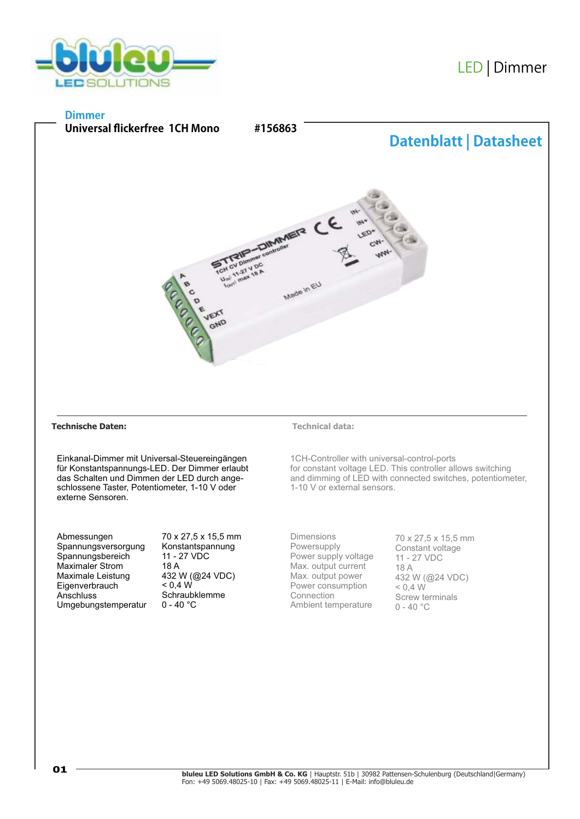

# LED |Dimmer

# **Dimmer**



## **Technische Daten: Technical data:**

Einkanal-Dimmer mit Universal-Steuereingängen für Konstantspannungs-LED. Der Dimmer erlaubt das Schalten und Dimmen der LED durch angeschlossene Taster, Potentiometer, 1-10 V oder externe Sensoren.

Abmessungen Spannungsversorgung Spannungsbereich Maximaler Strom Maximale Leistung **Eigenverbrauch Anschluss** Umgebungstemperatur 70 x 27,5 x 15,5 mm Konstantspannung 11 - 27 VDC 18 A 432 W (@24 VDC)  $< 0.4 W$ Schraubklemme  $0 - 40 °C$ 

1CH-Controller with universal-control-ports for constant voltage LED. This controller allows switching and dimming of LED with connected switches, potentiometer, 1-10 V or external sensors.

Dimensions Powersupply Power supply voltage Max. output current Max. output power Power consumption Connection Ambient temperature

70 x 27,5 x 15,5 mm Constant voltage 11 - 27 VDC 18 A 432 W (@24 VDC)  $< 0.4 W$ Screw terminals  $0 - 40$  °C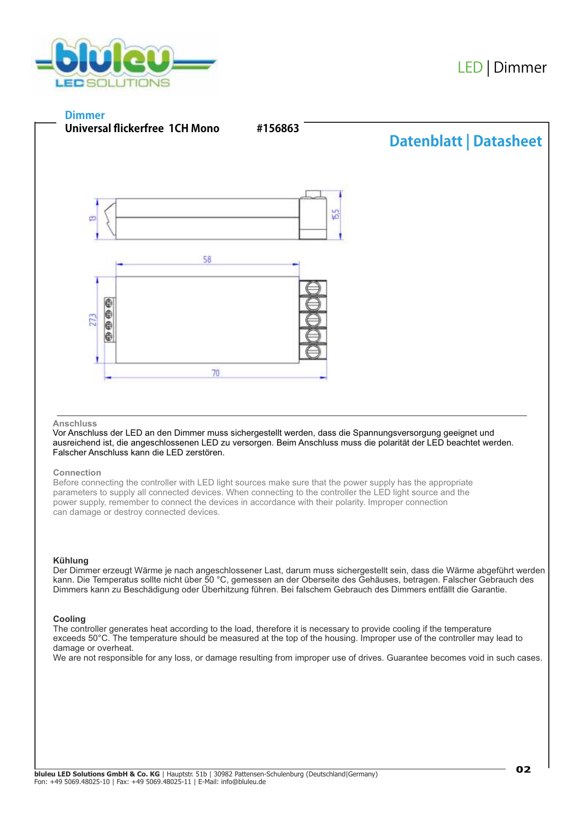

# **Dimmer**



#### **Anschluss**

Vor Anschluss der LED an den Dimmer muss sichergestellt werden, dass die Spannungsversorgung geeignet und ausreichend ist, die angeschlossenen LED zu versorgen. Beim Anschluss muss die polarität der LED beachtet werden. Falscher Anschluss kann die LED zerstören.

## **Connection**

Before connecting the controller with LED light sources make sure that the power supply has the appropriate parameters to supply all connected devices. When connecting to the controller the LED light source and the power supply, remember to connect the devices in accordance with their polarity. Improper connection can damage or destroy connected devices.

#### **Kühlung**

Der Dimmer erzeugt Wärme je nach angeschlossener Last, darum muss sichergestellt sein, dass die Wärme abgeführt werden kann. Die Temperatus sollte nicht über 50 °C, gemessen an der Oberseite des Gehäuses, betragen. Falscher Gebrauch des Dimmers kann zu Beschädigung oder Überhitzung führen. Bei falschem Gebrauch des Dimmers entfällt die Garantie.

## **Cooling**

The controller generates heat according to the load, therefore it is necessary to provide cooling if the temperature exceeds 50°C. The temperature should be measured at the top of the housing. Improper use of the controller may lead to damage or overheat.

We are not responsible for any loss, or damage resulting from improper use of drives. Guarantee becomes void in such cases.